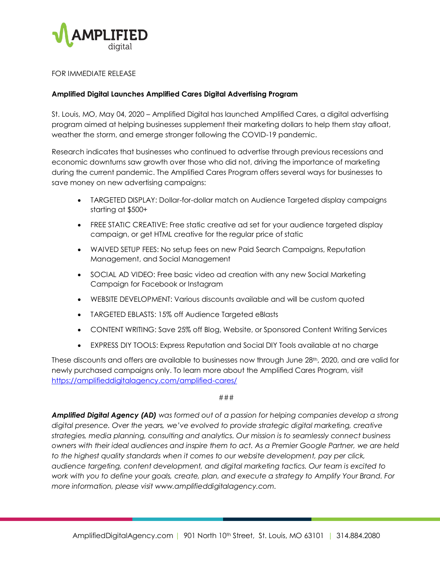

## FOR IMMEDIATE RELEASE

## **Amplified Digital Launches Amplified Cares Digital Advertising Program**

St. Louis, MO, May 04, 2020 – Amplified Digital has launched Amplified Cares, a digital advertising program aimed at helping businesses supplement their marketing dollars to help them stay afloat, weather the storm, and emerge stronger following the COVID-19 pandemic.

Research indicates that businesses who continued to advertise through previous recessions and economic downturns saw growth over those who did not, driving the importance of marketing during the current pandemic. The Amplified Cares Program offers several ways for businesses to save money on new advertising campaigns:

- TARGETED DISPLAY: Dollar-for-dollar match on Audience Targeted display campaigns starting at \$500+
- FREE STATIC CREATIVE: Free static creative ad set for your audience targeted display campaign, or get HTML creative for the regular price of static
- WAIVED SETUP FEES: No setup fees on new Paid Search Campaigns, Reputation Management, and Social Management
- SOCIAL AD VIDEO: Free basic video ad creation with any new Social Marketing Campaign for Facebook or Instagram
- WEBSITE DEVELOPMENT: Various discounts available and will be custom quoted
- TARGETED EBLASTS: 15% off Audience Targeted eBlasts
- CONTENT WRITING: Save 25% off Blog, Website, or Sponsored Content Writing Services
- EXPRESS DIY TOOLS: Express Reputation and Social DIY Tools available at no charge

These discounts and offers are available to businesses now through June 28th, 2020, and are valid for newly purchased campaigns only. To learn more about the Amplified Cares Program, visit <https://amplifieddigitalagency.com/amplified-cares/>

## ###

*Amplified Digital Agency (AD) was formed out of a passion for helping companies develop a strong digital presence. Over the years, we've evolved to provide strategic digital marketing, creative strategies, media planning, consulting and analytics. Our mission is to seamlessly connect business owners with their ideal audiences and inspire them to act. As a Premier Google Partner, we are held to the highest quality standards when it comes to our website development, pay per click, audience targeting, content development, and digital marketing tactics. Our team is excited to work with you to define your goals, create, plan, and execute a strategy to Amplify Your Brand. For more information, please visit www.amplifieddigitalagency.com.*